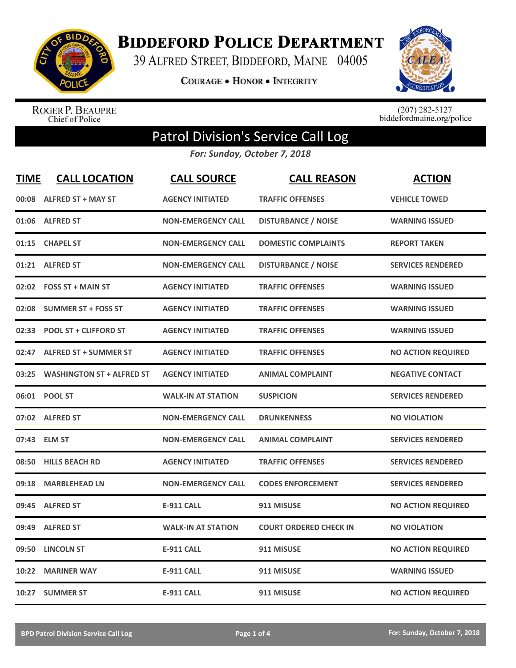

**BIDDEFORD POLICE DEPARTMENT** 

39 ALFRED STREET, BIDDEFORD, MAINE 04005

**COURAGE . HONOR . INTEGRITY** 



ROGER P. BEAUPRE<br>Chief of Police

 $(207)$  282-5127<br>biddefordmaine.org/police

## Patrol Division's Service Call Log

*For: Sunday, October 7, 2018*

| <b>TIME</b> | <b>CALL LOCATION</b>             | <b>CALL SOURCE</b>        | <b>CALL REASON</b>            | <b>ACTION</b>             |
|-------------|----------------------------------|---------------------------|-------------------------------|---------------------------|
| 00:08       | <b>ALFRED ST + MAY ST</b>        | <b>AGENCY INITIATED</b>   | <b>TRAFFIC OFFENSES</b>       | <b>VEHICLE TOWED</b>      |
| 01:06       | <b>ALFRED ST</b>                 | <b>NON-EMERGENCY CALL</b> | <b>DISTURBANCE / NOISE</b>    | <b>WARNING ISSUED</b>     |
| 01:15       | <b>CHAPEL ST</b>                 | <b>NON-EMERGENCY CALL</b> | <b>DOMESTIC COMPLAINTS</b>    | <b>REPORT TAKEN</b>       |
| 01:21       | <b>ALFRED ST</b>                 | <b>NON-EMERGENCY CALL</b> | <b>DISTURBANCE / NOISE</b>    | <b>SERVICES RENDERED</b>  |
|             | 02:02 FOSS ST + MAIN ST          | <b>AGENCY INITIATED</b>   | <b>TRAFFIC OFFENSES</b>       | <b>WARNING ISSUED</b>     |
| 02:08       | <b>SUMMER ST + FOSS ST</b>       | <b>AGENCY INITIATED</b>   | <b>TRAFFIC OFFENSES</b>       | <b>WARNING ISSUED</b>     |
| 02:33       | <b>POOL ST + CLIFFORD ST</b>     | <b>AGENCY INITIATED</b>   | <b>TRAFFIC OFFENSES</b>       | <b>WARNING ISSUED</b>     |
| 02:47       | <b>ALFRED ST + SUMMER ST</b>     | <b>AGENCY INITIATED</b>   | <b>TRAFFIC OFFENSES</b>       | <b>NO ACTION REQUIRED</b> |
| 03:25       | <b>WASHINGTON ST + ALFRED ST</b> | <b>AGENCY INITIATED</b>   | <b>ANIMAL COMPLAINT</b>       | <b>NEGATIVE CONTACT</b>   |
|             | 06:01 POOL ST                    | <b>WALK-IN AT STATION</b> | <b>SUSPICION</b>              | <b>SERVICES RENDERED</b>  |
|             | 07:02 ALFRED ST                  | <b>NON-EMERGENCY CALL</b> | <b>DRUNKENNESS</b>            | <b>NO VIOLATION</b>       |
|             | 07:43 ELM ST                     | <b>NON-EMERGENCY CALL</b> | <b>ANIMAL COMPLAINT</b>       | <b>SERVICES RENDERED</b>  |
| 08:50       | <b>HILLS BEACH RD</b>            | <b>AGENCY INITIATED</b>   | <b>TRAFFIC OFFENSES</b>       | <b>SERVICES RENDERED</b>  |
| 09:18       | <b>MARBLEHEAD LN</b>             | <b>NON-EMERGENCY CALL</b> | <b>CODES ENFORCEMENT</b>      | <b>SERVICES RENDERED</b>  |
| 09:45       | <b>ALFRED ST</b>                 | <b>E-911 CALL</b>         | 911 MISUSE                    | <b>NO ACTION REQUIRED</b> |
| 09:49       | <b>ALFRED ST</b>                 | <b>WALK-IN AT STATION</b> | <b>COURT ORDERED CHECK IN</b> | <b>NO VIOLATION</b>       |
| 09:50       | <b>LINCOLN ST</b>                | <b>E-911 CALL</b>         | 911 MISUSE                    | <b>NO ACTION REQUIRED</b> |
| 10:22       | <b>MARINER WAY</b>               | <b>E-911 CALL</b>         | 911 MISUSE                    | <b>WARNING ISSUED</b>     |
|             | 10:27 SUMMER ST                  | <b>E-911 CALL</b>         | 911 MISUSE                    | <b>NO ACTION REQUIRED</b> |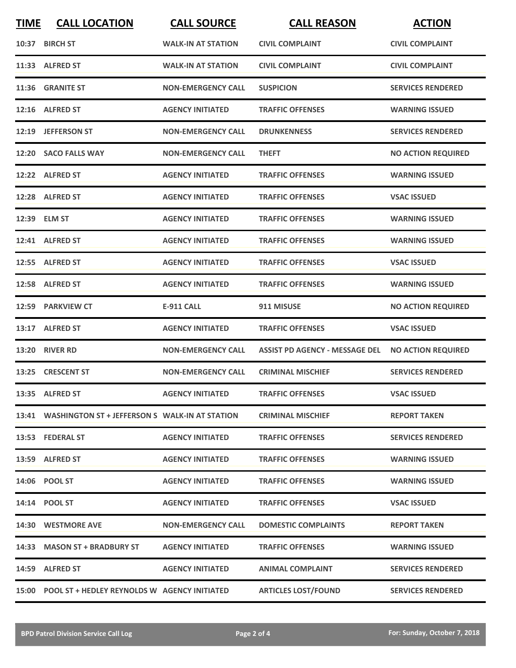| <b>TIME</b> | <b>CALL LOCATION</b>                                 | <b>CALL SOURCE</b>        | <b>CALL REASON</b>                    | <b>ACTION</b>             |
|-------------|------------------------------------------------------|---------------------------|---------------------------------------|---------------------------|
|             | 10:37 BIRCH ST                                       | <b>WALK-IN AT STATION</b> | <b>CIVIL COMPLAINT</b>                | <b>CIVIL COMPLAINT</b>    |
|             | 11:33 ALFRED ST                                      | <b>WALK-IN AT STATION</b> | <b>CIVIL COMPLAINT</b>                | <b>CIVIL COMPLAINT</b>    |
|             | 11:36 GRANITE ST                                     | <b>NON-EMERGENCY CALL</b> | <b>SUSPICION</b>                      | <b>SERVICES RENDERED</b>  |
|             | 12:16 ALFRED ST                                      | <b>AGENCY INITIATED</b>   | <b>TRAFFIC OFFENSES</b>               | <b>WARNING ISSUED</b>     |
|             | 12:19 JEFFERSON ST                                   | <b>NON-EMERGENCY CALL</b> | <b>DRUNKENNESS</b>                    | <b>SERVICES RENDERED</b>  |
|             | 12:20 SACO FALLS WAY                                 | <b>NON-EMERGENCY CALL</b> | <b>THEFT</b>                          | <b>NO ACTION REQUIRED</b> |
|             | 12:22 ALFRED ST                                      | <b>AGENCY INITIATED</b>   | <b>TRAFFIC OFFENSES</b>               | <b>WARNING ISSUED</b>     |
|             | 12:28 ALFRED ST                                      | <b>AGENCY INITIATED</b>   | <b>TRAFFIC OFFENSES</b>               | <b>VSAC ISSUED</b>        |
|             | 12:39 ELM ST                                         | <b>AGENCY INITIATED</b>   | <b>TRAFFIC OFFENSES</b>               | <b>WARNING ISSUED</b>     |
|             | 12:41 ALFRED ST                                      | <b>AGENCY INITIATED</b>   | <b>TRAFFIC OFFENSES</b>               | <b>WARNING ISSUED</b>     |
|             | 12:55 ALFRED ST                                      | <b>AGENCY INITIATED</b>   | <b>TRAFFIC OFFENSES</b>               | <b>VSAC ISSUED</b>        |
|             | 12:58 ALFRED ST                                      | <b>AGENCY INITIATED</b>   | <b>TRAFFIC OFFENSES</b>               | <b>WARNING ISSUED</b>     |
| 12:59       | <b>PARKVIEW CT</b>                                   | <b>E-911 CALL</b>         | 911 MISUSE                            | <b>NO ACTION REQUIRED</b> |
| 13:17       | <b>ALFRED ST</b>                                     | <b>AGENCY INITIATED</b>   | <b>TRAFFIC OFFENSES</b>               | <b>VSAC ISSUED</b>        |
| 13:20       | <b>RIVER RD</b>                                      | <b>NON-EMERGENCY CALL</b> | <b>ASSIST PD AGENCY - MESSAGE DEL</b> | <b>NO ACTION REQUIRED</b> |
|             | 13:25 CRESCENT ST                                    | <b>NON-EMERGENCY CALL</b> | <b>CRIMINAL MISCHIEF</b>              | <b>SERVICES RENDERED</b>  |
|             | 13:35 ALFRED ST                                      | <b>AGENCY INITIATED</b>   | <b>TRAFFIC OFFENSES</b>               | <b>VSAC ISSUED</b>        |
|             | 13:41 WASHINGTON ST + JEFFERSON S WALK-IN AT STATION |                           | <b>CRIMINAL MISCHIEF</b>              | <b>REPORT TAKEN</b>       |
|             | 13:53 FEDERAL ST                                     | <b>AGENCY INITIATED</b>   | <b>TRAFFIC OFFENSES</b>               | <b>SERVICES RENDERED</b>  |
|             | 13:59 ALFRED ST                                      | <b>AGENCY INITIATED</b>   | <b>TRAFFIC OFFENSES</b>               | <b>WARNING ISSUED</b>     |
|             | 14:06 POOL ST                                        | <b>AGENCY INITIATED</b>   | <b>TRAFFIC OFFENSES</b>               | <b>WARNING ISSUED</b>     |
|             | 14:14 POOL ST                                        | <b>AGENCY INITIATED</b>   | <b>TRAFFIC OFFENSES</b>               | <b>VSAC ISSUED</b>        |
|             | 14:30 WESTMORE AVE                                   | <b>NON-EMERGENCY CALL</b> | <b>DOMESTIC COMPLAINTS</b>            | <b>REPORT TAKEN</b>       |
|             | 14:33 MASON ST + BRADBURY ST                         | <b>AGENCY INITIATED</b>   | <b>TRAFFIC OFFENSES</b>               | <b>WARNING ISSUED</b>     |
|             | 14:59 ALFRED ST                                      | <b>AGENCY INITIATED</b>   | <b>ANIMAL COMPLAINT</b>               | <b>SERVICES RENDERED</b>  |
|             | 15:00 POOL ST + HEDLEY REYNOLDS W AGENCY INITIATED   |                           | <b>ARTICLES LOST/FOUND</b>            | <b>SERVICES RENDERED</b>  |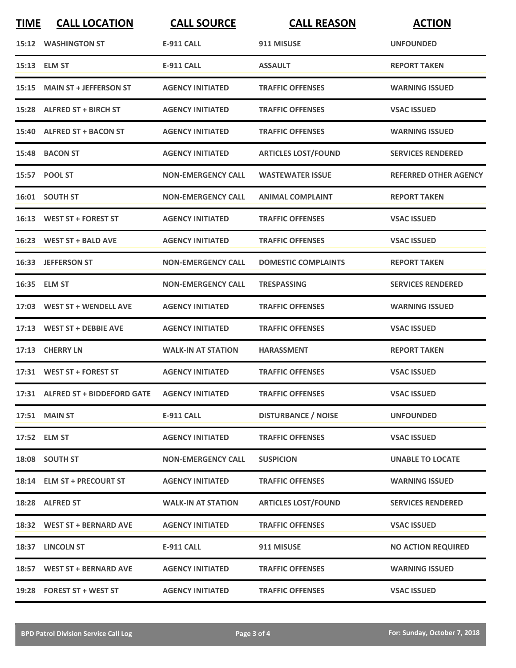| <b>TIME</b> | <b>CALL LOCATION</b>                              | <b>CALL SOURCE</b>        | <b>CALL REASON</b>         | <b>ACTION</b>                |
|-------------|---------------------------------------------------|---------------------------|----------------------------|------------------------------|
|             | 15:12 WASHINGTON ST                               | <b>E-911 CALL</b>         | 911 MISUSE                 | <b>UNFOUNDED</b>             |
|             | 15:13 ELM ST                                      | <b>E-911 CALL</b>         | <b>ASSAULT</b>             | <b>REPORT TAKEN</b>          |
|             | 15:15 MAIN ST + JEFFERSON ST                      | <b>AGENCY INITIATED</b>   | <b>TRAFFIC OFFENSES</b>    | <b>WARNING ISSUED</b>        |
|             | 15:28 ALFRED ST + BIRCH ST                        | <b>AGENCY INITIATED</b>   | <b>TRAFFIC OFFENSES</b>    | <b>VSAC ISSUED</b>           |
|             | 15:40 ALFRED ST + BACON ST                        | <b>AGENCY INITIATED</b>   | <b>TRAFFIC OFFENSES</b>    | <b>WARNING ISSUED</b>        |
|             | 15:48 BACON ST                                    | <b>AGENCY INITIATED</b>   | <b>ARTICLES LOST/FOUND</b> | <b>SERVICES RENDERED</b>     |
|             | 15:57 POOL ST                                     | <b>NON-EMERGENCY CALL</b> | <b>WASTEWATER ISSUE</b>    | <b>REFERRED OTHER AGENCY</b> |
|             | 16:01 SOUTH ST                                    | <b>NON-EMERGENCY CALL</b> | <b>ANIMAL COMPLAINT</b>    | <b>REPORT TAKEN</b>          |
|             | 16:13 WEST ST + FOREST ST                         | <b>AGENCY INITIATED</b>   | <b>TRAFFIC OFFENSES</b>    | <b>VSAC ISSUED</b>           |
|             | 16:23 WEST ST + BALD AVE                          | <b>AGENCY INITIATED</b>   | <b>TRAFFIC OFFENSES</b>    | <b>VSAC ISSUED</b>           |
|             | 16:33 JEFFERSON ST                                | <b>NON-EMERGENCY CALL</b> | <b>DOMESTIC COMPLAINTS</b> | <b>REPORT TAKEN</b>          |
|             | 16:35 ELM ST                                      | <b>NON-EMERGENCY CALL</b> | <b>TRESPASSING</b>         | <b>SERVICES RENDERED</b>     |
|             | 17:03 WEST ST + WENDELL AVE                       | <b>AGENCY INITIATED</b>   | <b>TRAFFIC OFFENSES</b>    | <b>WARNING ISSUED</b>        |
|             | 17:13 WEST ST + DEBBIE AVE                        | <b>AGENCY INITIATED</b>   | <b>TRAFFIC OFFENSES</b>    | <b>VSAC ISSUED</b>           |
|             | 17:13 CHERRY LN                                   | <b>WALK-IN AT STATION</b> | <b>HARASSMENT</b>          | <b>REPORT TAKEN</b>          |
|             | 17:31 WEST ST + FOREST ST                         | <b>AGENCY INITIATED</b>   | <b>TRAFFIC OFFENSES</b>    | <b>VSAC ISSUED</b>           |
|             | 17:31 ALFRED ST + BIDDEFORD GATE AGENCY INITIATED |                           | <b>TRAFFIC OFFENSES</b>    | <b>VSAC ISSUED</b>           |
|             | 17:51 MAIN ST                                     | <b>E-911 CALL</b>         | <b>DISTURBANCE / NOISE</b> | <b>UNFOUNDED</b>             |
|             | 17:52 ELM ST                                      | <b>AGENCY INITIATED</b>   | <b>TRAFFIC OFFENSES</b>    | <b>VSAC ISSUED</b>           |
|             | 18:08 SOUTH ST                                    | <b>NON-EMERGENCY CALL</b> | <b>SUSPICION</b>           | <b>UNABLE TO LOCATE</b>      |
|             | 18:14 ELM ST + PRECOURT ST                        | <b>AGENCY INITIATED</b>   | <b>TRAFFIC OFFENSES</b>    | <b>WARNING ISSUED</b>        |
|             | 18:28 ALFRED ST                                   | <b>WALK-IN AT STATION</b> | <b>ARTICLES LOST/FOUND</b> | <b>SERVICES RENDERED</b>     |
|             | 18:32 WEST ST + BERNARD AVE                       | <b>AGENCY INITIATED</b>   | <b>TRAFFIC OFFENSES</b>    | <b>VSAC ISSUED</b>           |
|             | 18:37 LINCOLN ST                                  | <b>E-911 CALL</b>         | 911 MISUSE                 | <b>NO ACTION REQUIRED</b>    |
|             | 18:57 WEST ST + BERNARD AVE                       | <b>AGENCY INITIATED</b>   | <b>TRAFFIC OFFENSES</b>    | <b>WARNING ISSUED</b>        |
|             | 19:28 FOREST ST + WEST ST                         | <b>AGENCY INITIATED</b>   | <b>TRAFFIC OFFENSES</b>    | <b>VSAC ISSUED</b>           |